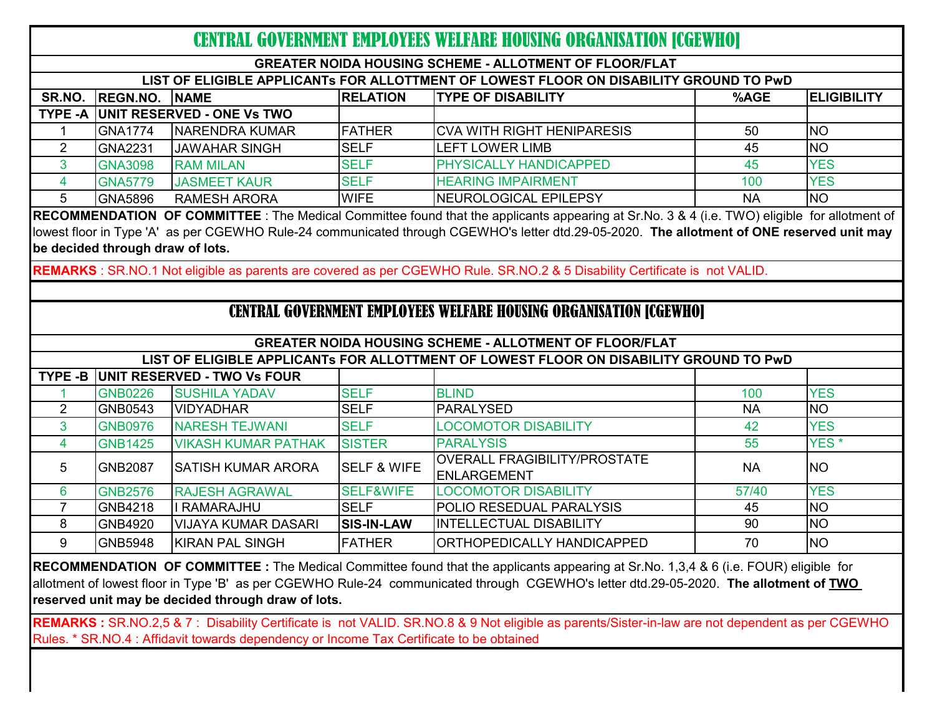| CENTRAL GOVERNMENT EMPLOYEES WELFARE HOUSING ORGANISATION [CGEWHO]                     |                                                                                                                                              |                             |                        |                                                                                                                                            |           |                    |  |  |  |
|----------------------------------------------------------------------------------------|----------------------------------------------------------------------------------------------------------------------------------------------|-----------------------------|------------------------|--------------------------------------------------------------------------------------------------------------------------------------------|-----------|--------------------|--|--|--|
| <b>GREATER NOIDA HOUSING SCHEME - ALLOTMENT OF FLOOR/FLAT</b>                          |                                                                                                                                              |                             |                        |                                                                                                                                            |           |                    |  |  |  |
| LIST OF ELIGIBLE APPLICANTS FOR ALLOTTMENT OF LOWEST FLOOR ON DISABILITY GROUND TO PWD |                                                                                                                                              |                             |                        |                                                                                                                                            |           |                    |  |  |  |
| SR.NO.                                                                                 | <b>REGN.NO.</b>                                                                                                                              | <b>NAME</b>                 | <b>RELATION</b>        | <b>TYPE OF DISABILITY</b>                                                                                                                  | %AGE      | <b>ELIGIBILITY</b> |  |  |  |
| <b>TYPE -A</b>                                                                         |                                                                                                                                              | UNIT RESERVED - ONE Vs TWO  |                        |                                                                                                                                            |           |                    |  |  |  |
|                                                                                        | <b>GNA1774</b>                                                                                                                               | NARENDRA KUMAR              | <b>FATHER</b>          | <b>CVA WITH RIGHT HENIPARESIS</b>                                                                                                          | 50        | <b>NO</b>          |  |  |  |
| $\overline{2}$                                                                         | <b>GNA2231</b>                                                                                                                               | <b>JAWAHAR SINGH</b>        | <b>SELF</b>            | <b>LEFT LOWER LIMB</b>                                                                                                                     | 45        | <b>NO</b>          |  |  |  |
| 3                                                                                      | <b>GNA3098</b>                                                                                                                               | <b>RAM MILAN</b>            | <b>SELF</b>            | PHYSICALLY HANDICAPPED                                                                                                                     | 45        | <b>YES</b>         |  |  |  |
| $\overline{4}$                                                                         | <b>GNA5779</b>                                                                                                                               | <b>JASMEET KAUR</b>         | <b>SELF</b>            | <b>HEARING IMPAIRMENT</b>                                                                                                                  | 100       | <b>YES</b>         |  |  |  |
| 5                                                                                      | GNA5896                                                                                                                                      | <b>RAMESH ARORA</b>         | <b>WIFE</b>            | NEUROLOGICAL EPILEPSY                                                                                                                      | <b>NA</b> | <b>NO</b>          |  |  |  |
|                                                                                        | RECOMMENDATION OF COMMITTEE : The Medical Committee found that the applicants appearing at Sr.No. 3 & 4 (i.e. TWO) eligible for allotment of |                             |                        |                                                                                                                                            |           |                    |  |  |  |
|                                                                                        |                                                                                                                                              |                             |                        | lowest floor in Type 'A' as per CGEWHO Rule-24 communicated through CGEWHO's letter dtd.29-05-2020. The allotment of ONE reserved unit may |           |                    |  |  |  |
|                                                                                        | be decided through draw of lots.                                                                                                             |                             |                        |                                                                                                                                            |           |                    |  |  |  |
|                                                                                        |                                                                                                                                              |                             |                        | REMARKS : SR.NO.1 Not eligible as parents are covered as per CGEWHO Rule. SR.NO.2 & 5 Disability Certificate is not VALID.                 |           |                    |  |  |  |
|                                                                                        |                                                                                                                                              |                             |                        |                                                                                                                                            |           |                    |  |  |  |
| <b>CENTRAL GOVERNMENT EMPLOYEES WELFARE HOUSING ORGANISATION [CGEWHO]</b>              |                                                                                                                                              |                             |                        |                                                                                                                                            |           |                    |  |  |  |
| <b>GREATER NOIDA HOUSING SCHEME - ALLOTMENT OF FLOOR/FLAT</b>                          |                                                                                                                                              |                             |                        |                                                                                                                                            |           |                    |  |  |  |
| LIST OF ELIGIBLE APPLICANTs FOR ALLOTTMENT OF LOWEST FLOOR ON DISABILITY GROUND TO PWD |                                                                                                                                              |                             |                        |                                                                                                                                            |           |                    |  |  |  |
| TYPE -B                                                                                |                                                                                                                                              | UNIT RESERVED - TWO Vs FOUR |                        |                                                                                                                                            |           |                    |  |  |  |
|                                                                                        | <b>GNB0226</b>                                                                                                                               | <b>SUSHILA YADAV</b>        | <b>SELF</b>            | <b>BLIND</b>                                                                                                                               | 100       | <b>YES</b>         |  |  |  |
| $\overline{2}$                                                                         | GNB0543                                                                                                                                      | <b>VIDYADHAR</b>            | <b>SELF</b>            | <b>PARALYSED</b>                                                                                                                           | <b>NA</b> | <b>NO</b>          |  |  |  |
| 3                                                                                      | <b>GNB0976</b>                                                                                                                               | <b>NARESH TEJWANI</b>       | <b>SELF</b>            | <b>LOCOMOTOR DISABILITY</b>                                                                                                                | 42        | <b>YES</b>         |  |  |  |
| 4                                                                                      | <b>GNB1425</b>                                                                                                                               | <b>VIKASH KUMAR PATHAK</b>  | <b>SISTER</b>          | <b>PARALYSIS</b>                                                                                                                           | 55        | YES <sup>*</sup>   |  |  |  |
| 5                                                                                      | <b>GNB2087</b>                                                                                                                               | <b>SATISH KUMAR ARORA</b>   | <b>SELF &amp; WIFE</b> | <b>OVERALL FRAGIBILITY/PROSTATE</b><br><b>ENLARGEMENT</b>                                                                                  | <b>NA</b> | <b>NO</b>          |  |  |  |
| 6                                                                                      | <b>GNB2576</b>                                                                                                                               | <b>RAJESH AGRAWAL</b>       | <b>SELF&amp;WIFE</b>   | <b>LOCOMOTOR DISABILITY</b>                                                                                                                | 57/40     | <b>YES</b>         |  |  |  |
| $\overline{7}$                                                                         | <b>GNB4218</b>                                                                                                                               | I RAMARAJHU                 | <b>SELF</b>            | POLIO RESEDUAL PARALYSIS                                                                                                                   | 45        | <b>NO</b>          |  |  |  |
| 8                                                                                      | GNB4920                                                                                                                                      | <b>VIJAYA KUMAR DASARI</b>  | <b>SIS-IN-LAW</b>      | <b>INTELLECTUAL DISABILITY</b>                                                                                                             | 90        | <b>NO</b>          |  |  |  |
| 9                                                                                      | <b>GNB5948</b>                                                                                                                               | <b>KIRAN PAL SINGH</b>      | <b>FATHER</b>          | ORTHOPEDICALLY HANDICAPPED                                                                                                                 | 70        | <b>NO</b>          |  |  |  |

**RECOMMENDATION OF COMMITTEE :** The Medical Committee found that the applicants appearing at Sr.No. 1,3,4 & 6 (i.e. FOUR) eligible for allotment of lowest floor in Type 'B' as per CGEWHO Rule-24 communicated through CGEWHO's letter dtd.29-05-2020. **The allotment of TWO reserved unit may be decided through draw of lots.**

**REMARKS :** SR.NO.2,5 & 7 : Disability Certificate is not VALID. SR.NO.8 & 9 Not eligible as parents/Sister-in-law are not dependent as per CGEWHO Rules. \* SR.NO.4 : Affidavit towards dependency or Income Tax Certificate to be obtained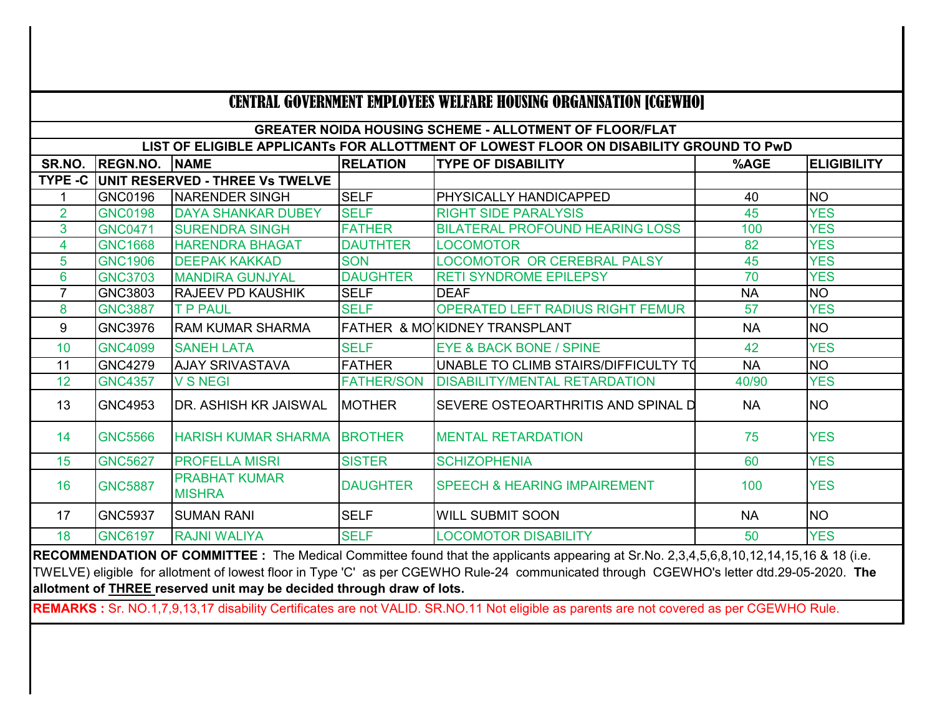| <b>CENTRAL GOVERNMENT EMPLOYEES WELFARE HOUSING ORGANISATION [CGEWHO]</b>                                                               |                 |                                       |                   |                                         |           |                    |  |  |
|-----------------------------------------------------------------------------------------------------------------------------------------|-----------------|---------------------------------------|-------------------|-----------------------------------------|-----------|--------------------|--|--|
| <b>GREATER NOIDA HOUSING SCHEME - ALLOTMENT OF FLOOR/FLAT</b>                                                                           |                 |                                       |                   |                                         |           |                    |  |  |
| LIST OF ELIGIBLE APPLICANTS FOR ALLOTTMENT OF LOWEST FLOOR ON DISABILITY GROUND TO PWD                                                  |                 |                                       |                   |                                         |           |                    |  |  |
| SR.NO.                                                                                                                                  | <b>REGN.NO.</b> | <b>NAME</b>                           | <b>RELATION</b>   | <b>TYPE OF DISABILITY</b>               | %AGE      | <b>ELIGIBILITY</b> |  |  |
| <b>TYPE -C</b>                                                                                                                          |                 | UNIT RESERVED - THREE Vs TWELVE       |                   |                                         |           |                    |  |  |
| 1                                                                                                                                       | <b>GNC0196</b>  | <b>NARENDER SINGH</b>                 | <b>SELF</b>       | <b>PHYSICALLY HANDICAPPED</b>           | 40        | <b>NO</b>          |  |  |
| $\overline{2}$                                                                                                                          | <b>GNC0198</b>  | <b>DAYA SHANKAR DUBEY</b>             | <b>SELF</b>       | <b>RIGHT SIDE PARALYSIS</b>             | 45        | <b>YES</b>         |  |  |
| 3                                                                                                                                       | <b>GNC0471</b>  | <b>SURENDRA SINGH</b>                 | <b>FATHER</b>     | <b>BILATERAL PROFOUND HEARING LOSS</b>  | 100       | <b>YES</b>         |  |  |
| 4                                                                                                                                       | <b>GNC1668</b>  | <b>HARENDRA BHAGAT</b>                | <b>DAUTHTER</b>   | <b>LOCOMOTOR</b>                        | 82        | <b>YES</b>         |  |  |
| 5                                                                                                                                       | <b>GNC1906</b>  | <b>DEEPAK KAKKAD</b>                  | <b>SON</b>        | LOCOMOTOR OR CEREBRAL PALSY             | 45        | <b>YES</b>         |  |  |
| 6                                                                                                                                       | <b>GNC3703</b>  | <b>MANDIRA GUNJYAL</b>                | <b>DAUGHTER</b>   | <b>RETI SYNDROME EPILEPSY</b>           | 70        | <b>YES</b>         |  |  |
| 7                                                                                                                                       | GNC3803         | <b>RAJEEV PD KAUSHIK</b>              | <b>SELF</b>       | <b>DEAF</b>                             | <b>NA</b> | <b>NO</b>          |  |  |
| 8                                                                                                                                       | <b>GNC3887</b>  | <b>T P PAUL</b>                       | <b>SELF</b>       | <b>OPERATED LEFT RADIUS RIGHT FEMUR</b> | 57        | <b>YES</b>         |  |  |
| 9                                                                                                                                       | <b>GNC3976</b>  | <b>RAM KUMAR SHARMA</b>               |                   | FATHER & MOIKIDNEY TRANSPLANT           | <b>NA</b> | <b>NO</b>          |  |  |
| 10                                                                                                                                      | <b>GNC4099</b>  | <b>SANEH LATA</b>                     | <b>SELF</b>       | <b>EYE &amp; BACK BONE / SPINE</b>      | 42        | <b>YES</b>         |  |  |
| 11                                                                                                                                      | <b>GNC4279</b>  | <b>AJAY SRIVASTAVA</b>                | <b>FATHER</b>     | UNABLE TO CLIMB STAIRS/DIFFICULTY TO    | <b>NA</b> | <b>NO</b>          |  |  |
| 12                                                                                                                                      | <b>GNC4357</b>  | <b>V S NEGI</b>                       | <b>FATHER/SON</b> | <b>DISABILITY/MENTAL RETARDATION</b>    | 40/90     | <b>YES</b>         |  |  |
| 13                                                                                                                                      | <b>GNC4953</b>  | DR. ASHISH KR JAISWAL                 | <b>MOTHER</b>     | SEVERE OSTEOARTHRITIS AND SPINAL D      | <b>NA</b> | <b>NO</b>          |  |  |
| 14                                                                                                                                      | <b>GNC5566</b>  | <b>HARISH KUMAR SHARMA</b>            | <b>BROTHER</b>    | <b>MENTAL RETARDATION</b>               | 75        | <b>YES</b>         |  |  |
| 15                                                                                                                                      | <b>GNC5627</b>  | <b>PROFELLA MISRI</b>                 | <b>SISTER</b>     | <b>SCHIZOPHENIA</b>                     | 60        | <b>YES</b>         |  |  |
| 16                                                                                                                                      | <b>GNC5887</b>  | <b>PRABHAT KUMAR</b><br><b>MISHRA</b> | <b>DAUGHTER</b>   | <b>SPEECH &amp; HEARING IMPAIREMENT</b> | 100       | <b>YES</b>         |  |  |
| 17                                                                                                                                      | <b>GNC5937</b>  | <b>SUMAN RANI</b>                     | <b>SELF</b>       | <b>WILL SUBMIT SOON</b>                 | <b>NA</b> | <b>NO</b>          |  |  |
| 18                                                                                                                                      | <b>GNC6197</b>  | <b>RAJNI WALIYA</b>                   | <b>SELF</b>       | <b>LOCOMOTOR DISABILITY</b>             | 50        | <b>YES</b>         |  |  |
| RECOMMENDATION OF COMMITTEE : The Medical Committee found that the applicants appearing at Sr.No. 2,3,4,5,6,8,10,12,14,15,16 & 18 (i.e. |                 |                                       |                   |                                         |           |                    |  |  |

TWELVE) eligible for allotment of lowest floor in Type 'C' as per CGEWHO Rule-24 communicated through CGEWHO's letter dtd.29-05-2020. **The allotment of THREE reserved unit may be decided through draw of lots.**

**REMARKS :** Sr. NO.1,7,9,13,17 disability Certificates are not VALID. SR.NO.11 Not eligible as parents are not covered as per CGEWHO Rule.